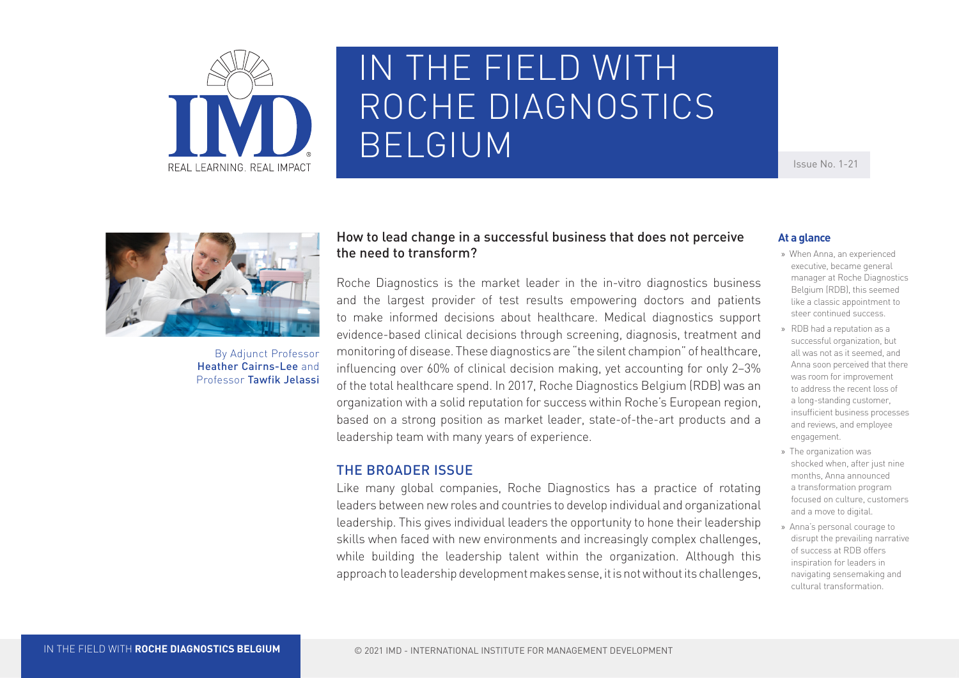

# IN THE FIELD WITH ROCHE DIAGNOSTICS BELGIUM

Issue No. 1-21



By Adjunct Professor Heather Cairns-Lee and Professor Tawfik Jelassi

# How to lead change in a successful business that does not perceive the need to transform?

Roche Diagnostics is the market leader in the in-vitro diagnostics business and the largest provider of test results empowering doctors and patients to make informed decisions about healthcare. Medical diagnostics support evidence-based clinical decisions through screening, diagnosis, treatment and monitoring of disease. These diagnostics are "the silent champion" of healthcare, influencing over 60% of clinical decision making, yet accounting for only 2–3% of the total healthcare spend. In 2017, Roche Diagnostics Belgium (RDB) was an organization with a solid reputation for success within Roche's European region, based on a strong position as market leader, state-of-the-art products and a leadership team with many years of experience.

# THE BROADER ISSUE

Like many global companies, Roche Diagnostics has a practice of rotating leaders between new roles and countries to develop individual and organizational leadership. This gives individual leaders the opportunity to hone their leadership skills when faced with new environments and increasingly complex challenges, while building the leadership talent within the organization. Although this approach to leadership development makes sense, it is not without its challenges,

#### **At a glance**

- »» When Anna, an experienced executive, became general manager at Roche Diagnostics Belgium (RDB), this seemed like a classic appointment to steer continued success.
- »» RDB had a reputation as a successful organization, but all was not as it seemed, and Anna soon perceived that there was room for improvement to address the recent loss of a long-standing customer, insufficient business processes and reviews, and employee engagement.
- »» The organization was shocked when, after just nine months, Anna announced a transformation program focused on culture, customers and a move to digital.
- »» Anna's personal courage to disrupt the prevailing narrative of success at RDB offers inspiration for leaders in navigating sensemaking and cultural transformation.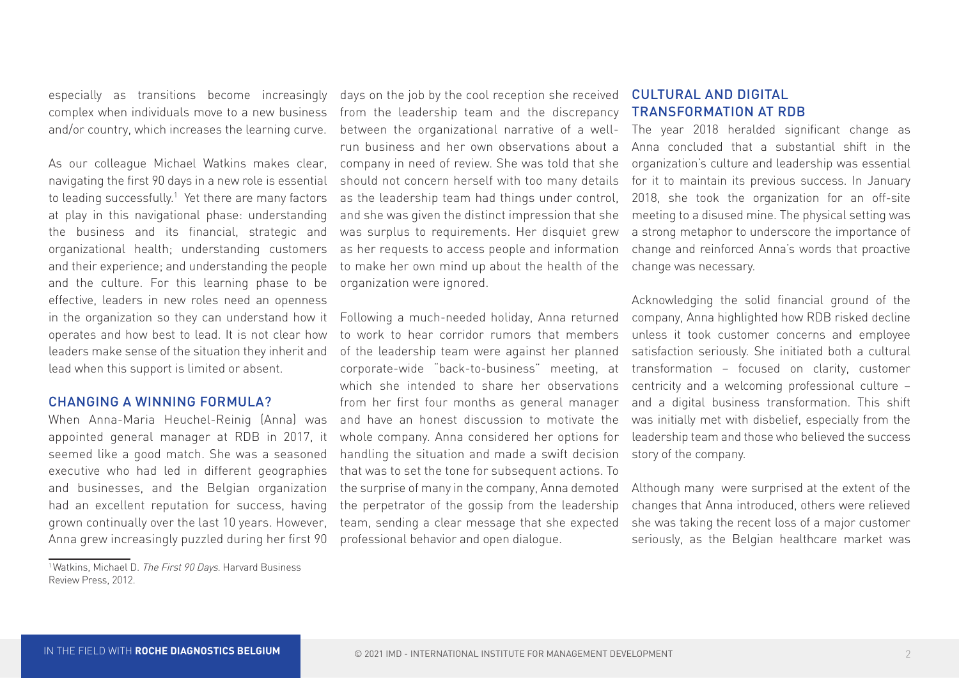especially as transitions become increasingly complex when individuals move to a new business and/or country, which increases the learning curve.

As our colleague Michael Watkins makes clear, navigating the first 90 days in a new role is essential to leading successfully.1 Yet there are many factors at play in this navigational phase: understanding the business and its financial, strategic and organizational health; understanding customers and their experience; and understanding the people and the culture. For this learning phase to be effective, leaders in new roles need an openness in the organization so they can understand how it operates and how best to lead. It is not clear how leaders make sense of the situation they inherit and lead when this support is limited or absent.

#### CHANGING A WINNING FORMULA?

When Anna-Maria Heuchel-Reinig (Anna) was appointed general manager at RDB in 2017, it seemed like a good match. She was a seasoned executive who had led in different geographies and businesses, and the Belgian organization had an excellent reputation for success, having grown continually over the last 10 years. However, Anna grew increasingly puzzled during her first 90

days on the job by the cool reception she received CULTURAL AND DIGITAL from the leadership team and the discrepancy FRANSFORMATIONATRDB between the organizational narrative of a wellrun business and her own observations about a company in need of review. She was told that she should not concern herself with too many details as the leadership team had things under control, and she was given the distinct impression that she was surplus to requirements. Her disquiet grew as her requests to access people and information to make her own mind up about the health of the organization were ignored.

to work to hear corridor rumors that members unless it took customer concerns and employee of the leadership team were against her planned corporate-wide "back-to-business" meeting, at which she intended to share her observations centricity and a welcoming professional culture – from her first four months as general manager and have an honest discussion to motivate the whole company. Anna considered her options for handling the situation and made a swift decision that was to set the tone for subsequent actions. To the surprise of many in the company, Anna demoted the perpetrator of the gossip from the leadership team, sending a clear message that she expected professional behavior and open dialogue.

The year 2018 heralded significant change as Anna concluded that a substantial shift in the organization's culture and leadership was essential for it to maintain its previous success. In January 2018, she took the organization for an off-site meeting to a disused mine. The physical setting was a strong metaphor to underscore the importance of change and reinforced Anna's words that proactive change was necessary.

Following a much-needed holiday, Anna returned company, Anna highlighted how RDB risked decline Acknowledging the solid financial ground of the satisfaction seriously. She initiated both a cultural transformation – focused on clarity, customer and a digital business transformation. This shift was initially met with disbelief, especially from the leadership team and those who believed the success story of the company.

> Although many were surprised at the extent of the changes that Anna introduced, others were relieved she was taking the recent loss of a major customer seriously, as the Belgian healthcare market was

<sup>&</sup>lt;sup>1</sup> Watkins, Michael D. The First 90 Days. Harvard Business Review Press, 2012.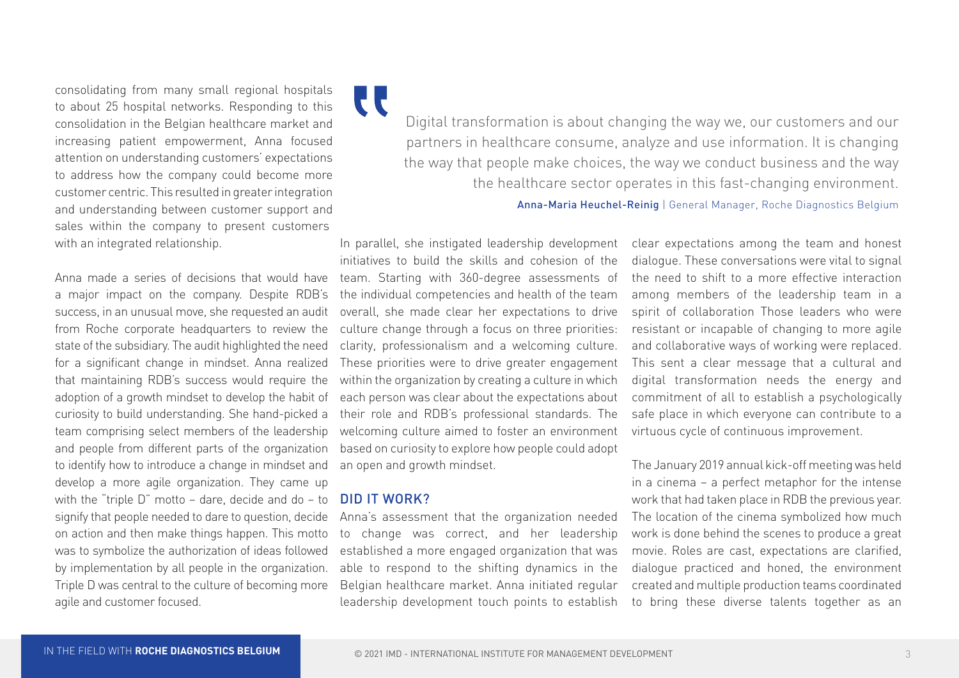consolidating from many small regional hospitals to about 25 hospital networks. Responding to this consolidation in the Belgian healthcare market and increasing patient empowerment, Anna focused attention on understanding customers' expectations to address how the company could become more customer centric. This resulted in greater integration and understanding between customer support and sales within the company to present customers with an integrated relationship.

Anna made a series of decisions that would have a major impact on the company. Despite RDB's success, in an unusual move, she requested an audit from Roche corporate headquarters to review the state of the subsidiary. The audit highlighted the need for a significant change in mindset. Anna realized that maintaining RDB's success would require the adoption of a growth mindset to develop the habit of curiosity to build understanding. She hand-picked a team comprising select members of the leadership and people from different parts of the organization to identify how to introduce a change in mindset and develop a more agile organization. They came up with the "triple D" motto – dare, decide and do – to signify that people needed to dare to question, decide on action and then make things happen. This motto was to symbolize the authorization of ideas followed by implementation by all people in the organization. Triple D was central to the culture of becoming more agile and customer focused.

**LL** Digital transformation is about changing the way we, our customers and our partners in healthcare consume, analyze and use information. It is changing the way that people make choices, the way we conduct business and the way the healthcare sector operates in this fast-changing environment.

Anna-Maria Heuchel-Reinig | General Manager, Roche Diagnostics Belgium

In parallel, she instigated leadership development initiatives to build the skills and cohesion of the team. Starting with 360-degree assessments of the individual competencies and health of the team overall, she made clear her expectations to drive culture change through a focus on three priorities: clarity, professionalism and a welcoming culture. These priorities were to drive greater engagement within the organization by creating a culture in which each person was clear about the expectations about their role and RDB's professional standards. The welcoming culture aimed to foster an environment based on curiosity to explore how people could adopt an open and growth mindset.

# DID IT WORK?

Anna's assessment that the organization needed to change was correct, and her leadership established a more engaged organization that was able to respond to the shifting dynamics in the Belgian healthcare market. Anna initiated regular leadership development touch points to establish clear expectations among the team and honest dialogue. These conversations were vital to signal the need to shift to a more effective interaction among members of the leadership team in a spirit of collaboration Those leaders who were resistant or incapable of changing to more agile and collaborative ways of working were replaced. This sent a clear message that a cultural and digital transformation needs the energy and commitment of all to establish a psychologically safe place in which everyone can contribute to a virtuous cycle of continuous improvement.

The January 2019 annual kick-off meeting was held in a cinema – a perfect metaphor for the intense work that had taken place in RDB the previous year. The location of the cinema symbolized how much work is done behind the scenes to produce a great movie. Roles are cast, expectations are clarified, dialogue practiced and honed, the environment created and multiple production teams coordinated to bring these diverse talents together as an